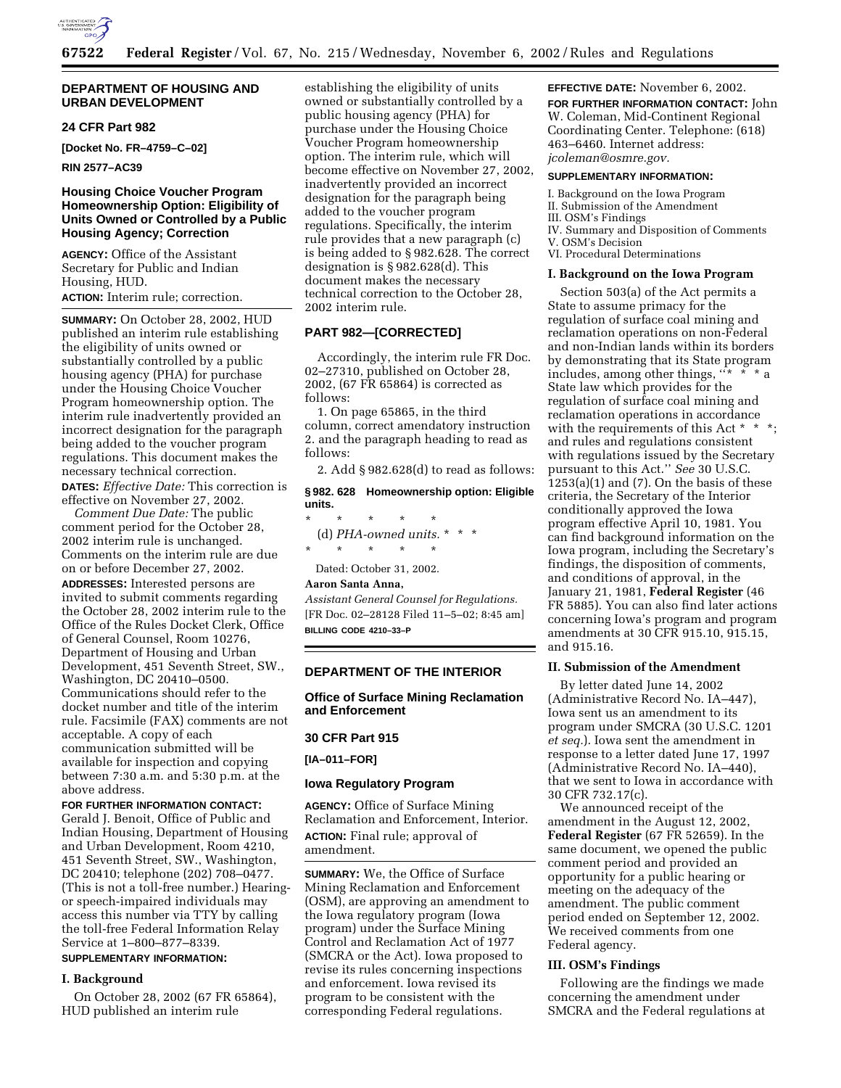

### **DEPARTMENT OF HOUSING AND URBAN DEVELOPMENT**

# **24 CFR Part 982**

**[Docket No. FR–4759–C–02]** 

**RIN 2577–AC39** 

# **Housing Choice Voucher Program Homeownership Option: Eligibility of Units Owned or Controlled by a Public Housing Agency; Correction**

**AGENCY:** Office of the Assistant Secretary for Public and Indian Housing, HUD.

### **ACTION:** Interim rule; correction.

**SUMMARY:** On October 28, 2002, HUD published an interim rule establishing the eligibility of units owned or substantially controlled by a public housing agency (PHA) for purchase under the Housing Choice Voucher Program homeownership option. The interim rule inadvertently provided an incorrect designation for the paragraph being added to the voucher program regulations. This document makes the necessary technical correction.

**DATES:** *Effective Date:* This correction is effective on November 27, 2002.

*Comment Due Date:* The public comment period for the October 28, 2002 interim rule is unchanged. Comments on the interim rule are due on or before December 27, 2002.

**ADDRESSES:** Interested persons are invited to submit comments regarding the October 28, 2002 interim rule to the Office of the Rules Docket Clerk, Office of General Counsel, Room 10276, Department of Housing and Urban Development, 451 Seventh Street, SW., Washington, DC 20410–0500. Communications should refer to the docket number and title of the interim rule. Facsimile (FAX) comments are not acceptable. A copy of each communication submitted will be available for inspection and copying between 7:30 a.m. and 5:30 p.m. at the above address.

**FOR FURTHER INFORMATION CONTACT:** Gerald J. Benoit, Office of Public and Indian Housing, Department of Housing and Urban Development, Room 4210, 451 Seventh Street, SW., Washington, DC 20410; telephone (202) 708–0477. (This is not a toll-free number.) Hearingor speech-impaired individuals may access this number via TTY by calling the toll-free Federal Information Relay Service at 1–800–877–8339.

# **SUPPLEMENTARY INFORMATION:**

#### **I. Background**

On October 28, 2002 (67 FR 65864), HUD published an interim rule

establishing the eligibility of units owned or substantially controlled by a public housing agency (PHA) for purchase under the Housing Choice Voucher Program homeownership option. The interim rule, which will become effective on November 27, 2002, inadvertently provided an incorrect designation for the paragraph being added to the voucher program regulations. Specifically, the interim rule provides that a new paragraph (c) is being added to § 982.628. The correct designation is § 982.628(d). This document makes the necessary technical correction to the October 28, 2002 interim rule.

### **PART 982—[CORRECTED]**

Accordingly, the interim rule FR Doc. 02–27310, published on October 28, 2002, (67 FR 65864) is corrected as follows:

1. On page 65865, in the third column, correct amendatory instruction 2. and the paragraph heading to read as follows:

2. Add § 982.628(d) to read as follows:

**§ 982. 628 Homeownership option: Eligible units.** \* \* \* \* \* (d) PHA-owned units.  $*$ \* \* \* \* \* Dated: October 31, 2002. **Aaron Santa Anna,** 

# *Assistant General Counsel for Regulations.* [FR Doc. 02–28128 Filed 11–5–02; 8:45 am]

**BILLING CODE 4210–33–P**

### **DEPARTMENT OF THE INTERIOR**

**Office of Surface Mining Reclamation and Enforcement** 

#### **30 CFR Part 915**

**[IA–011–FOR]** 

#### **Iowa Regulatory Program**

**AGENCY:** Office of Surface Mining Reclamation and Enforcement, Interior. **ACTION:** Final rule; approval of amendment.

**SUMMARY:** We, the Office of Surface Mining Reclamation and Enforcement (OSM), are approving an amendment to the Iowa regulatory program (Iowa program) under the Surface Mining Control and Reclamation Act of 1977 (SMCRA or the Act). Iowa proposed to revise its rules concerning inspections and enforcement. Iowa revised its program to be consistent with the corresponding Federal regulations.

**EFFECTIVE DATE:** November 6, 2002. **FOR FURTHER INFORMATION CONTACT:** John W. Coleman, Mid-Continent Regional Coordinating Center. Telephone: (618) 463–6460. Internet address: *jcoleman@osmre.gov.*

# **SUPPLEMENTARY INFORMATION:**

I. Background on the Iowa Program II. Submission of the Amendment III. OSM's Findings IV. Summary and Disposition of Comments V. OSM's Decision VI. Procedural Determinations

#### **I. Background on the Iowa Program**

Section 503(a) of the Act permits a State to assume primacy for the regulation of surface coal mining and reclamation operations on non-Federal and non-Indian lands within its borders by demonstrating that its State program includes, among other things,  $"$  \* \* State law which provides for the regulation of surface coal mining and reclamation operations in accordance with the requirements of this Act  $*$   $*$ and rules and regulations consistent with regulations issued by the Secretary pursuant to this Act.'' *See* 30 U.S.C.  $1253(a)(1)$  and (7). On the basis of these criteria, the Secretary of the Interior conditionally approved the Iowa program effective April 10, 1981. You can find background information on the Iowa program, including the Secretary's findings, the disposition of comments, and conditions of approval, in the January 21, 1981, **Federal Register** (46 FR 5885). You can also find later actions concerning Iowa's program and program amendments at 30 CFR 915.10, 915.15, and 915.16.

#### **II. Submission of the Amendment**

By letter dated June 14, 2002 (Administrative Record No. IA–447), Iowa sent us an amendment to its program under SMCRA (30 U.S.C. 1201 *et seq.*). Iowa sent the amendment in response to a letter dated June 17, 1997 (Administrative Record No. IA–440), that we sent to Iowa in accordance with 30 CFR 732.17(c).

We announced receipt of the amendment in the August 12, 2002, **Federal Register** (67 FR 52659). In the same document, we opened the public comment period and provided an opportunity for a public hearing or meeting on the adequacy of the amendment. The public comment period ended on September 12, 2002. We received comments from one Federal agency.

#### **III. OSM's Findings**

Following are the findings we made concerning the amendment under SMCRA and the Federal regulations at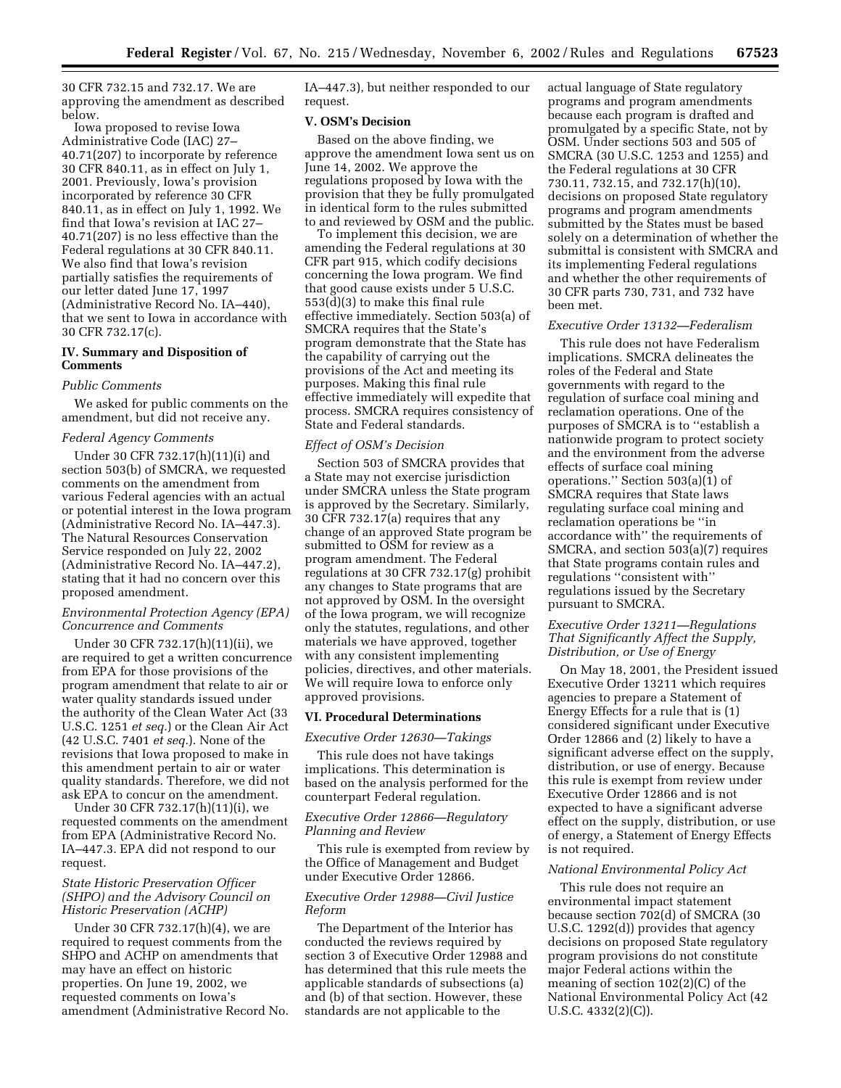30 CFR 732.15 and 732.17. We are approving the amendment as described below.

Iowa proposed to revise Iowa Administrative Code (IAC) 27– 40.71(207) to incorporate by reference 30 CFR 840.11, as in effect on July 1, 2001. Previously, Iowa's provision incorporated by reference 30 CFR 840.11, as in effect on July 1, 1992. We find that Iowa's revision at IAC 27– 40.71(207) is no less effective than the Federal regulations at 30 CFR 840.11. We also find that Iowa's revision partially satisfies the requirements of our letter dated June 17, 1997 (Administrative Record No. IA–440), that we sent to Iowa in accordance with 30 CFR 732.17(c).

# **IV. Summary and Disposition of Comments**

#### *Public Comments*

We asked for public comments on the amendment, but did not receive any.

### *Federal Agency Comments*

Under 30 CFR 732.17(h)(11)(i) and section 503(b) of SMCRA, we requested comments on the amendment from various Federal agencies with an actual or potential interest in the Iowa program (Administrative Record No. IA–447.3). The Natural Resources Conservation Service responded on July 22, 2002 (Administrative Record No. IA–447.2), stating that it had no concern over this proposed amendment.

#### *Environmental Protection Agency (EPA) Concurrence and Comments*

Under 30 CFR 732.17(h)(11)(ii), we are required to get a written concurrence from EPA for those provisions of the program amendment that relate to air or water quality standards issued under the authority of the Clean Water Act (33 U.S.C. 1251 *et seq.*) or the Clean Air Act (42 U.S.C. 7401 *et seq.*). None of the revisions that Iowa proposed to make in this amendment pertain to air or water quality standards. Therefore, we did not ask EPA to concur on the amendment.

Under 30 CFR 732.17(h)(11)(i), we requested comments on the amendment from EPA (Administrative Record No. IA–447.3. EPA did not respond to our request.

# *State Historic Preservation Officer (SHPO) and the Advisory Council on Historic Preservation (ACHP)*

Under 30 CFR 732.17(h)(4), we are required to request comments from the SHPO and ACHP on amendments that may have an effect on historic properties. On June 19, 2002, we requested comments on Iowa's amendment (Administrative Record No. IA–447.3), but neither responded to our request.

### **V. OSM's Decision**

Based on the above finding, we approve the amendment Iowa sent us on June 14, 2002. We approve the regulations proposed by Iowa with the provision that they be fully promulgated in identical form to the rules submitted to and reviewed by OSM and the public.

To implement this decision, we are amending the Federal regulations at 30 CFR part 915, which codify decisions concerning the Iowa program. We find that good cause exists under 5 U.S.C. 553(d)(3) to make this final rule effective immediately. Section 503(a) of SMCRA requires that the State's program demonstrate that the State has the capability of carrying out the provisions of the Act and meeting its purposes. Making this final rule effective immediately will expedite that process. SMCRA requires consistency of State and Federal standards.

#### *Effect of OSM's Decision*

Section 503 of SMCRA provides that a State may not exercise jurisdiction under SMCRA unless the State program is approved by the Secretary. Similarly, 30 CFR 732.17(a) requires that any change of an approved State program be submitted to OSM for review as a program amendment. The Federal regulations at 30 CFR 732.17(g) prohibit any changes to State programs that are not approved by OSM. In the oversight of the Iowa program, we will recognize only the statutes, regulations, and other materials we have approved, together with any consistent implementing policies, directives, and other materials. We will require Iowa to enforce only approved provisions.

#### **VI. Procedural Determinations**

*Executive Order 12630—Takings* 

This rule does not have takings implications. This determination is based on the analysis performed for the counterpart Federal regulation.

# *Executive Order 12866—Regulatory Planning and Review*

This rule is exempted from review by the Office of Management and Budget under Executive Order 12866.

### *Executive Order 12988—Civil Justice Reform*

The Department of the Interior has conducted the reviews required by section 3 of Executive Order 12988 and has determined that this rule meets the applicable standards of subsections (a) and (b) of that section. However, these standards are not applicable to the

actual language of State regulatory programs and program amendments because each program is drafted and promulgated by a specific State, not by OSM. Under sections 503 and 505 of SMCRA (30 U.S.C. 1253 and 1255) and the Federal regulations at 30 CFR 730.11, 732.15, and 732.17(h)(10), decisions on proposed State regulatory programs and program amendments submitted by the States must be based solely on a determination of whether the submittal is consistent with SMCRA and its implementing Federal regulations and whether the other requirements of 30 CFR parts 730, 731, and 732 have been met.

#### *Executive Order 13132—Federalism*

This rule does not have Federalism implications. SMCRA delineates the roles of the Federal and State governments with regard to the regulation of surface coal mining and reclamation operations. One of the purposes of SMCRA is to ''establish a nationwide program to protect society and the environment from the adverse effects of surface coal mining operations.'' Section 503(a)(1) of SMCRA requires that State laws regulating surface coal mining and reclamation operations be ''in accordance with'' the requirements of SMCRA, and section 503(a)(7) requires that State programs contain rules and regulations ''consistent with'' regulations issued by the Secretary pursuant to SMCRA.

# *Executive Order 13211—Regulations That Significantly Affect the Supply, Distribution, or Use of Energy*

On May 18, 2001, the President issued Executive Order 13211 which requires agencies to prepare a Statement of Energy Effects for a rule that is (1) considered significant under Executive Order 12866 and (2) likely to have a significant adverse effect on the supply, distribution, or use of energy. Because this rule is exempt from review under Executive Order 12866 and is not expected to have a significant adverse effect on the supply, distribution, or use of energy, a Statement of Energy Effects is not required.

#### *National Environmental Policy Act*

This rule does not require an environmental impact statement because section 702(d) of SMCRA (30 U.S.C. 1292(d)) provides that agency decisions on proposed State regulatory program provisions do not constitute major Federal actions within the meaning of section 102(2)(C) of the National Environmental Policy Act (42 U.S.C. 4332(2)(C)).